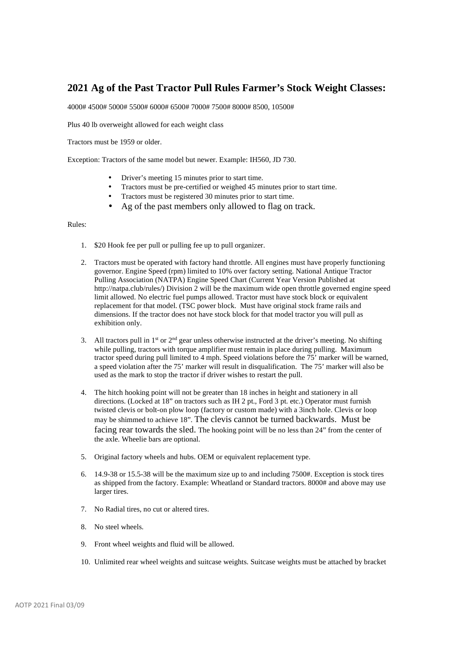## **2021 Ag of the Past Tractor Pull Rules Farmer's Stock Weight Classes:**

4000# 4500# 5000# 5500# 6000# 6500# 7000# 7500# 8000# 8500, 10500#

Plus 40 lb overweight allowed for each weight class

Tractors must be 1959 or older.

Exception: Tractors of the same model but newer. Example: IH560, JD 730.

- Driver's meeting 15 minutes prior to start time.
- Tractors must be pre-certified or weighed 45 minutes prior to start time.
- Tractors must be registered 30 minutes prior to start time.
- Ag of the past members only allowed to flag on track.

## Rules:

- 1. \$20 Hook fee per pull or pulling fee up to pull organizer.
- 2. Tractors must be operated with factory hand throttle. All engines must have properly functioning governor. Engine Speed (rpm) limited to 10% over factory setting. National Antique Tractor Pulling Association (NATPA) Engine Speed Chart (Current Year Version Published at http://natpa.club/rules/) Division 2 will be the maximum wide open throttle governed engine speed limit allowed. No electric fuel pumps allowed. Tractor must have stock block or equivalent replacement for that model. (TSC power block. Must have original stock frame rails and dimensions. If the tractor does not have stock block for that model tractor you will pull as exhibition only.
- 3. All tractors pull in  $1<sup>st</sup>$  or  $2<sup>nd</sup>$  gear unless otherwise instructed at the driver's meeting. No shifting while pulling, tractors with torque amplifier must remain in place during pulling. Maximum tractor speed during pull limited to 4 mph. Speed violations before the 75' marker will be warned, a speed violation after the 75' marker will result in disqualification. The 75' marker will also be used as the mark to stop the tractor if driver wishes to restart the pull.
- 4. The hitch hooking point will not be greater than 18 inches in height and stationery in all directions. (Locked at 18" on tractors such as IH 2 pt., Ford 3 pt. etc.) Operator must furnish twisted clevis or bolt-on plow loop (factory or custom made) with a 3inch hole. Clevis or loop may be shimmed to achieve 18". The clevis cannot be turned backwards. Must be facing rear towards the sled. The hooking point will be no less than 24" from the center of the axle. Wheelie bars are optional.
- 5. Original factory wheels and hubs. OEM or equivalent replacement type.
- 6. 14.9-38 or 15.5-38 will be the maximum size up to and including 7500#. Exception is stock tires as shipped from the factory. Example: Wheatland or Standard tractors. 8000# and above may use larger tires.
- 7. No Radial tires, no cut or altered tires.
- 8. No steel wheels.
- 9. Front wheel weights and fluid will be allowed.
- 10. Unlimited rear wheel weights and suitcase weights. Suitcase weights must be attached by bracket